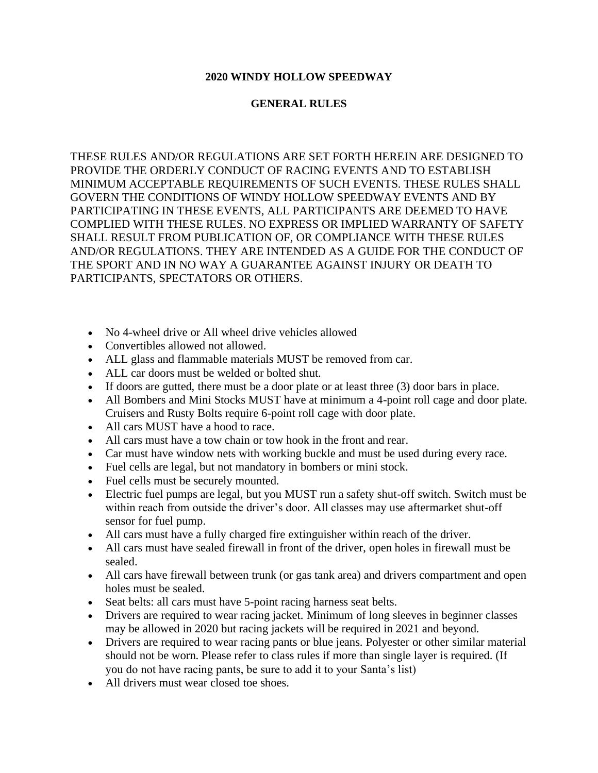## **2020 WINDY HOLLOW SPEEDWAY**

## **GENERAL RULES**

THESE RULES AND/OR REGULATIONS ARE SET FORTH HEREIN ARE DESIGNED TO PROVIDE THE ORDERLY CONDUCT OF RACING EVENTS AND TO ESTABLISH MINIMUM ACCEPTABLE REQUIREMENTS OF SUCH EVENTS. THESE RULES SHALL GOVERN THE CONDITIONS OF WINDY HOLLOW SPEEDWAY EVENTS AND BY PARTICIPATING IN THESE EVENTS, ALL PARTICIPANTS ARE DEEMED TO HAVE COMPLIED WITH THESE RULES. NO EXPRESS OR IMPLIED WARRANTY OF SAFETY SHALL RESULT FROM PUBLICATION OF, OR COMPLIANCE WITH THESE RULES AND/OR REGULATIONS. THEY ARE INTENDED AS A GUIDE FOR THE CONDUCT OF THE SPORT AND IN NO WAY A GUARANTEE AGAINST INJURY OR DEATH TO PARTICIPANTS, SPECTATORS OR OTHERS.

- No 4-wheel drive or All wheel drive vehicles allowed
- Convertibles allowed not allowed.
- ALL glass and flammable materials MUST be removed from car.
- ALL car doors must be welded or bolted shut.
- If doors are gutted, there must be a door plate or at least three (3) door bars in place.
- All Bombers and Mini Stocks MUST have at minimum a 4-point roll cage and door plate. Cruisers and Rusty Bolts require 6-point roll cage with door plate.
- All cars MUST have a hood to race.
- All cars must have a tow chain or tow hook in the front and rear.
- Car must have window nets with working buckle and must be used during every race.
- Fuel cells are legal, but not mandatory in bombers or mini stock.
- Fuel cells must be securely mounted.
- Electric fuel pumps are legal, but you MUST run a safety shut-off switch. Switch must be within reach from outside the driver's door. All classes may use aftermarket shut-off sensor for fuel pump.
- All cars must have a fully charged fire extinguisher within reach of the driver.
- All cars must have sealed firewall in front of the driver, open holes in firewall must be sealed.
- All cars have firewall between trunk (or gas tank area) and drivers compartment and open holes must be sealed.
- Seat belts: all cars must have 5-point racing harness seat belts.
- Drivers are required to wear racing jacket. Minimum of long sleeves in beginner classes may be allowed in 2020 but racing jackets will be required in 2021 and beyond.
- Drivers are required to wear racing pants or blue jeans. Polyester or other similar material should not be worn. Please refer to class rules if more than single layer is required. (If you do not have racing pants, be sure to add it to your Santa's list)
- All drivers must wear closed toe shoes.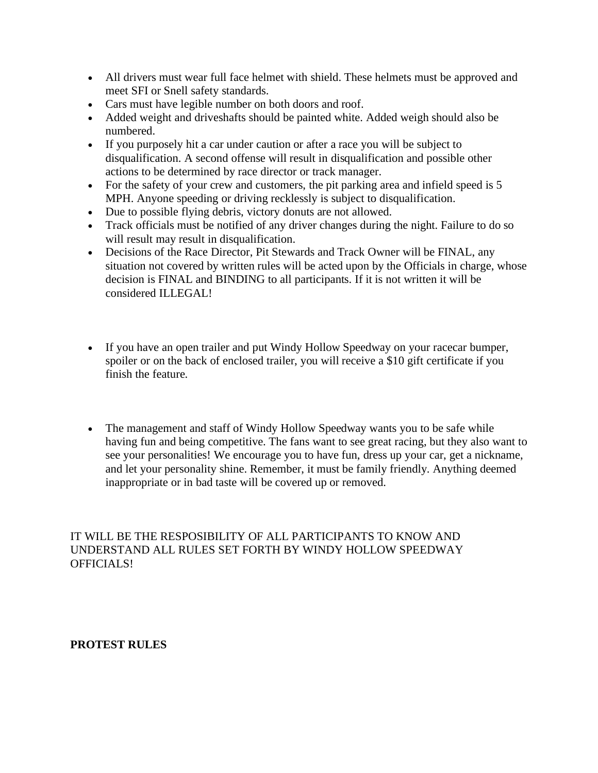- All drivers must wear full face helmet with shield. These helmets must be approved and meet SFI or Snell safety standards.
- Cars must have legible number on both doors and roof.
- Added weight and driveshafts should be painted white. Added weigh should also be numbered.
- If you purposely hit a car under caution or after a race you will be subject to disqualification. A second offense will result in disqualification and possible other actions to be determined by race director or track manager.
- For the safety of your crew and customers, the pit parking area and infield speed is 5 MPH. Anyone speeding or driving recklessly is subject to disqualification.
- Due to possible flying debris, victory donuts are not allowed.
- Track officials must be notified of any driver changes during the night. Failure to do so will result may result in disqualification.
- Decisions of the Race Director, Pit Stewards and Track Owner will be FINAL, any situation not covered by written rules will be acted upon by the Officials in charge, whose decision is FINAL and BINDING to all participants. If it is not written it will be considered ILLEGAL!
- If you have an open trailer and put Windy Hollow Speedway on your racecar bumper, spoiler or on the back of enclosed trailer, you will receive a \$10 gift certificate if you finish the feature.
- The management and staff of Windy Hollow Speedway wants you to be safe while having fun and being competitive. The fans want to see great racing, but they also want to see your personalities! We encourage you to have fun, dress up your car, get a nickname, and let your personality shine. Remember, it must be family friendly. Anything deemed inappropriate or in bad taste will be covered up or removed.

IT WILL BE THE RESPOSIBILITY OF ALL PARTICIPANTS TO KNOW AND UNDERSTAND ALL RULES SET FORTH BY WINDY HOLLOW SPEEDWAY OFFICIALS!

## **PROTEST RULES**